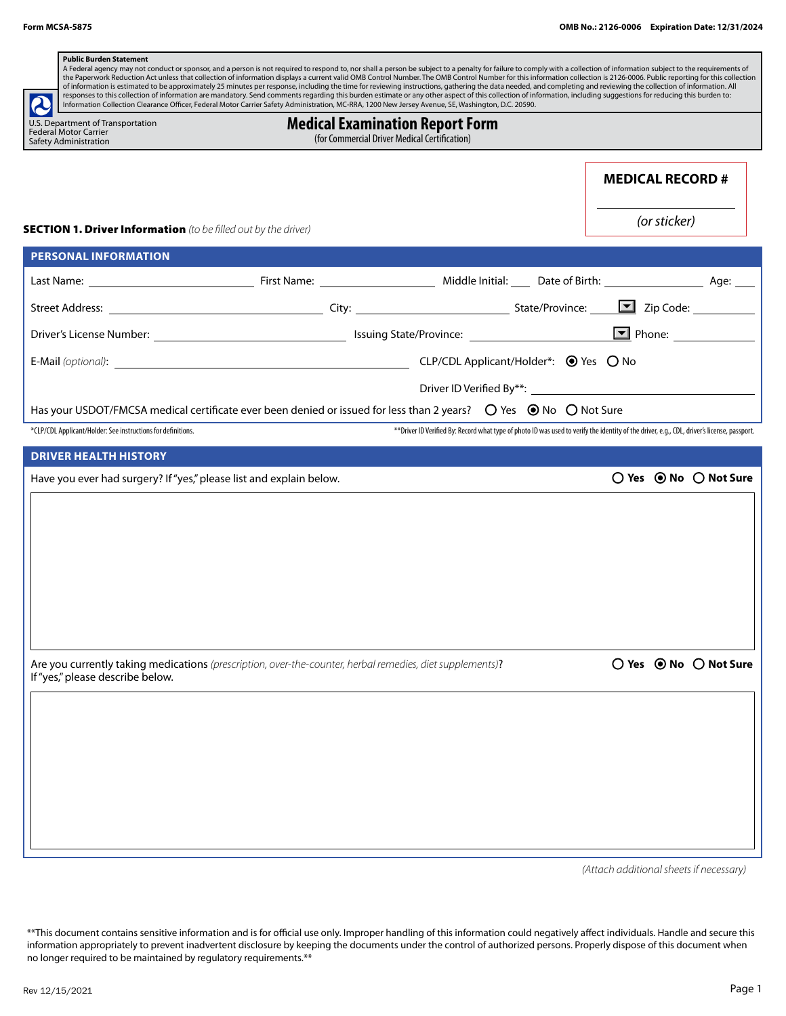| <b>Public Burden Statement</b><br>A Federal agency may not conduct or sponsor, and a person is not required to respond to, nor shall a person be subject to a penalty for failure to comply with a collection of information subject to the requirements of<br>the Paperwork Reduction Act unless that collection of information displays a current valid OMB Control Number. The OMB Control Number for this information collection is 2126-0006. Public reporting for this collection                                                                                                            |                                                                                                                                              |                                         |              |                                                  |
|----------------------------------------------------------------------------------------------------------------------------------------------------------------------------------------------------------------------------------------------------------------------------------------------------------------------------------------------------------------------------------------------------------------------------------------------------------------------------------------------------------------------------------------------------------------------------------------------------|----------------------------------------------------------------------------------------------------------------------------------------------|-----------------------------------------|--------------|--------------------------------------------------|
| of information is estimated to be approximately 25 minutes per response, including the time for reviewing instructions, gathering the data needed, and completing and reviewing the collection of information. All<br>responses to this collection of information are mandatory. Send comments regarding this burden estimate or any other aspect of this collection of information, including suggestions for reducing this burden to:<br>2<br>Information Collection Clearance Officer, Federal Motor Carrier Safety Administration, MC-RRA, 1200 New Jersey Avenue, SE, Washington, D.C. 20590. |                                                                                                                                              |                                         |              |                                                  |
| U.S. Department of Transportation<br><b>Federal Motor Carrier</b><br>Safety Administration                                                                                                                                                                                                                                                                                                                                                                                                                                                                                                         | <b>Medical Examination Report Form</b><br>(for Commercial Driver Medical Certification)                                                      |                                         |              |                                                  |
|                                                                                                                                                                                                                                                                                                                                                                                                                                                                                                                                                                                                    |                                                                                                                                              |                                         |              |                                                  |
|                                                                                                                                                                                                                                                                                                                                                                                                                                                                                                                                                                                                    |                                                                                                                                              | <b>MEDICAL RECORD #</b>                 |              |                                                  |
|                                                                                                                                                                                                                                                                                                                                                                                                                                                                                                                                                                                                    |                                                                                                                                              |                                         | (or sticker) |                                                  |
| <b>SECTION 1. Driver Information</b> (to be filled out by the driver)                                                                                                                                                                                                                                                                                                                                                                                                                                                                                                                              |                                                                                                                                              |                                         |              |                                                  |
| <b>PERSONAL INFORMATION</b>                                                                                                                                                                                                                                                                                                                                                                                                                                                                                                                                                                        |                                                                                                                                              |                                         |              |                                                  |
|                                                                                                                                                                                                                                                                                                                                                                                                                                                                                                                                                                                                    |                                                                                                                                              |                                         |              |                                                  |
|                                                                                                                                                                                                                                                                                                                                                                                                                                                                                                                                                                                                    |                                                                                                                                              |                                         |              |                                                  |
|                                                                                                                                                                                                                                                                                                                                                                                                                                                                                                                                                                                                    |                                                                                                                                              |                                         |              |                                                  |
|                                                                                                                                                                                                                                                                                                                                                                                                                                                                                                                                                                                                    |                                                                                                                                              |                                         |              |                                                  |
|                                                                                                                                                                                                                                                                                                                                                                                                                                                                                                                                                                                                    |                                                                                                                                              |                                         |              |                                                  |
| Has your USDOT/FMCSA medical certificate ever been denied or issued for less than 2 years? $\bigcirc$ Yes $\bigcirc$ No $\bigcirc$ Not Sure                                                                                                                                                                                                                                                                                                                                                                                                                                                        |                                                                                                                                              |                                         |              |                                                  |
| *CLP/CDL Applicant/Holder: See instructions for definitions.                                                                                                                                                                                                                                                                                                                                                                                                                                                                                                                                       | ** Driver ID Verified By: Record what type of photo ID was used to verify the identity of the driver, e.q., CDL, driver's license, passport. |                                         |              |                                                  |
| <b>DRIVER HEALTH HISTORY</b>                                                                                                                                                                                                                                                                                                                                                                                                                                                                                                                                                                       |                                                                                                                                              |                                         |              |                                                  |
| Have you ever had surgery? If "yes," please list and explain below.                                                                                                                                                                                                                                                                                                                                                                                                                                                                                                                                |                                                                                                                                              |                                         |              | ○ Yes ● No ○ Not Sure                            |
|                                                                                                                                                                                                                                                                                                                                                                                                                                                                                                                                                                                                    |                                                                                                                                              |                                         |              |                                                  |
|                                                                                                                                                                                                                                                                                                                                                                                                                                                                                                                                                                                                    |                                                                                                                                              |                                         |              |                                                  |
|                                                                                                                                                                                                                                                                                                                                                                                                                                                                                                                                                                                                    |                                                                                                                                              |                                         |              |                                                  |
|                                                                                                                                                                                                                                                                                                                                                                                                                                                                                                                                                                                                    |                                                                                                                                              |                                         |              |                                                  |
|                                                                                                                                                                                                                                                                                                                                                                                                                                                                                                                                                                                                    |                                                                                                                                              |                                         |              |                                                  |
|                                                                                                                                                                                                                                                                                                                                                                                                                                                                                                                                                                                                    |                                                                                                                                              |                                         |              |                                                  |
|                                                                                                                                                                                                                                                                                                                                                                                                                                                                                                                                                                                                    |                                                                                                                                              |                                         |              |                                                  |
| Are you currently taking medications (prescription, over-the-counter, herbal remedies, diet supplements)?                                                                                                                                                                                                                                                                                                                                                                                                                                                                                          |                                                                                                                                              |                                         |              | $\bigcirc$ Yes $\bigcirc$ No $\bigcirc$ Not Sure |
| If "yes," please describe below.                                                                                                                                                                                                                                                                                                                                                                                                                                                                                                                                                                   |                                                                                                                                              |                                         |              |                                                  |
|                                                                                                                                                                                                                                                                                                                                                                                                                                                                                                                                                                                                    |                                                                                                                                              |                                         |              |                                                  |
|                                                                                                                                                                                                                                                                                                                                                                                                                                                                                                                                                                                                    |                                                                                                                                              |                                         |              |                                                  |
|                                                                                                                                                                                                                                                                                                                                                                                                                                                                                                                                                                                                    |                                                                                                                                              |                                         |              |                                                  |
|                                                                                                                                                                                                                                                                                                                                                                                                                                                                                                                                                                                                    |                                                                                                                                              |                                         |              |                                                  |
|                                                                                                                                                                                                                                                                                                                                                                                                                                                                                                                                                                                                    |                                                                                                                                              |                                         |              |                                                  |
|                                                                                                                                                                                                                                                                                                                                                                                                                                                                                                                                                                                                    |                                                                                                                                              |                                         |              |                                                  |
|                                                                                                                                                                                                                                                                                                                                                                                                                                                                                                                                                                                                    |                                                                                                                                              |                                         |              |                                                  |
|                                                                                                                                                                                                                                                                                                                                                                                                                                                                                                                                                                                                    |                                                                                                                                              |                                         |              |                                                  |
|                                                                                                                                                                                                                                                                                                                                                                                                                                                                                                                                                                                                    |                                                                                                                                              | (Attach additional sheets if necessary) |              |                                                  |

\*\*This document contains sensitive information and is for official use only. Improper handling of this information could negatively affect individuals. Handle and secure this information appropriately to prevent inadvertent disclosure by keeping the documents under the control of authorized persons. Properly dispose of this document when no longer required to be maintained by regulatory requirements.\*\*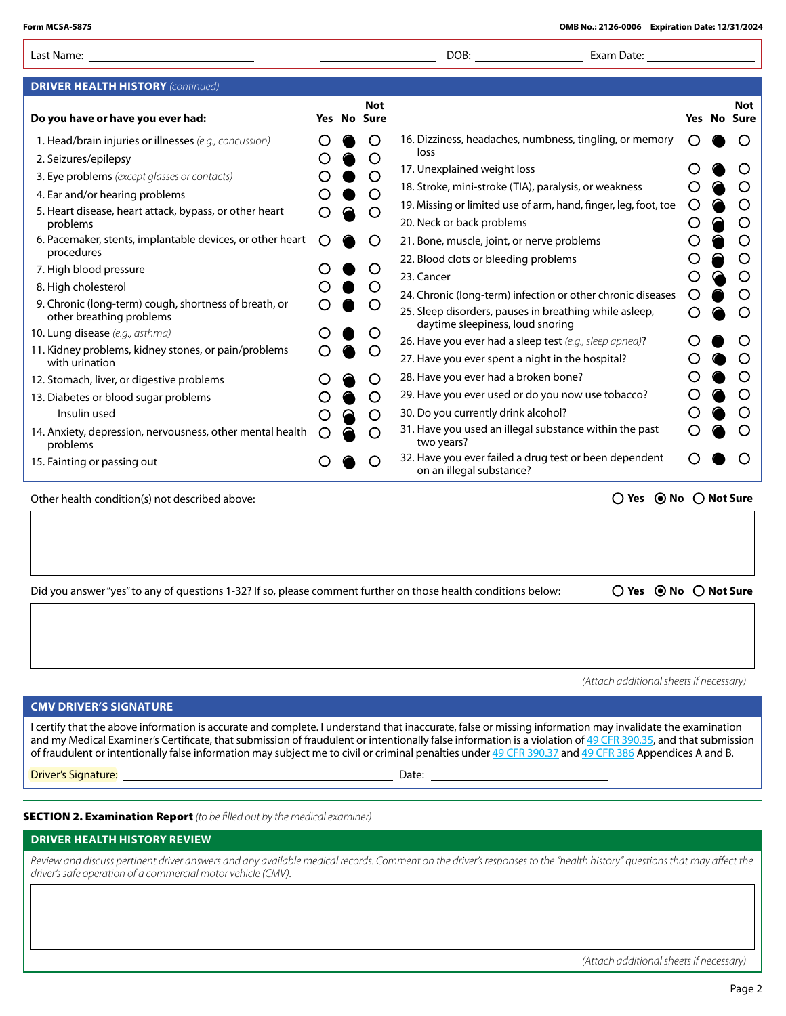| Form MCSA-5875                                                                                                         |   |                                  | OMB No.: 2126-0006 Expiration Date: 12/31/2024                                                                                                                                                                                                                                                                                                                                                                                                                                    |   |                           |
|------------------------------------------------------------------------------------------------------------------------|---|----------------------------------|-----------------------------------------------------------------------------------------------------------------------------------------------------------------------------------------------------------------------------------------------------------------------------------------------------------------------------------------------------------------------------------------------------------------------------------------------------------------------------------|---|---------------------------|
| Last Name:                                                                                                             |   |                                  | DOB:<br>Exam Date:                                                                                                                                                                                                                                                                                                                                                                                                                                                                |   |                           |
| <b>DRIVER HEALTH HISTORY</b> (continued)                                                                               |   |                                  |                                                                                                                                                                                                                                                                                                                                                                                                                                                                                   |   |                           |
| Do you have or have you ever had:                                                                                      |   | <b>Not</b><br><b>Yes No Sure</b> |                                                                                                                                                                                                                                                                                                                                                                                                                                                                                   |   | Not<br><b>Yes No Sure</b> |
| 1. Head/brain injuries or illnesses (e.g., concussion)                                                                 |   |                                  | 16. Dizziness, headaches, numbness, tingling, or memory                                                                                                                                                                                                                                                                                                                                                                                                                           | ◯ |                           |
| 2. Seizures/epilepsy                                                                                                   |   | O                                | loss                                                                                                                                                                                                                                                                                                                                                                                                                                                                              |   |                           |
| 3. Eye problems (except glasses or contacts)                                                                           |   |                                  | 17. Unexplained weight loss                                                                                                                                                                                                                                                                                                                                                                                                                                                       |   | O                         |
| 4. Ear and/or hearing problems                                                                                         |   |                                  | 18. Stroke, mini-stroke (TIA), paralysis, or weakness                                                                                                                                                                                                                                                                                                                                                                                                                             |   | O                         |
| 5. Heart disease, heart attack, bypass, or other heart<br>problems                                                     |   | Ő                                | 19. Missing or limited use of arm, hand, finger, leg, foot, toe<br>20. Neck or back problems                                                                                                                                                                                                                                                                                                                                                                                      |   | O<br>O                    |
| 6. Pacemaker, stents, implantable devices, or other heart<br>procedures                                                |   | O                                | 21. Bone, muscle, joint, or nerve problems<br>22. Blood clots or bleeding problems                                                                                                                                                                                                                                                                                                                                                                                                |   | O<br>O                    |
| 7. High blood pressure                                                                                                 |   |                                  | 23. Cancer                                                                                                                                                                                                                                                                                                                                                                                                                                                                        |   | O                         |
| 8. High cholesterol                                                                                                    |   |                                  |                                                                                                                                                                                                                                                                                                                                                                                                                                                                                   |   | O                         |
| 9. Chronic (long-term) cough, shortness of breath, or<br>other breathing problems                                      |   |                                  | 24. Chronic (long-term) infection or other chronic diseases<br>25. Sleep disorders, pauses in breathing while asleep,<br>daytime sleepiness, loud snoring                                                                                                                                                                                                                                                                                                                         |   | Ő                         |
| 10. Lung disease (e.g., asthma)                                                                                        |   |                                  | 26. Have you ever had a sleep test (e.g., sleep apnea)?                                                                                                                                                                                                                                                                                                                                                                                                                           |   | O                         |
| 11. Kidney problems, kidney stones, or pain/problems<br>with urination                                                 |   | Ő                                | 27. Have you ever spent a night in the hospital?                                                                                                                                                                                                                                                                                                                                                                                                                                  |   |                           |
| 12. Stomach, liver, or digestive problems                                                                              |   | O                                | 28. Have you ever had a broken bone?                                                                                                                                                                                                                                                                                                                                                                                                                                              |   |                           |
| 13. Diabetes or blood sugar problems                                                                                   |   | O                                | 29. Have you ever used or do you now use tobacco?                                                                                                                                                                                                                                                                                                                                                                                                                                 |   |                           |
| Insulin used                                                                                                           |   | O                                | 30. Do you currently drink alcohol?                                                                                                                                                                                                                                                                                                                                                                                                                                               |   |                           |
| 14. Anxiety, depression, nervousness, other mental health<br>problems                                                  | O | O                                | 31. Have you used an illegal substance within the past<br>two years?                                                                                                                                                                                                                                                                                                                                                                                                              |   |                           |
| 15. Fainting or passing out                                                                                            |   |                                  | 32. Have you ever failed a drug test or been dependent<br>on an illegal substance?                                                                                                                                                                                                                                                                                                                                                                                                |   |                           |
| Other health condition(s) not described above:                                                                         |   |                                  | ○ Yes ● No ○ Not Sure                                                                                                                                                                                                                                                                                                                                                                                                                                                             |   |                           |
| Did you answer "yes" to any of questions 1-32? If so, please comment further on those health conditions below:         |   |                                  | ○ Yes ● No ○ Not Sure                                                                                                                                                                                                                                                                                                                                                                                                                                                             |   |                           |
|                                                                                                                        |   |                                  | (Attach additional sheets if necessary)                                                                                                                                                                                                                                                                                                                                                                                                                                           |   |                           |
| <b>CMV DRIVER'S SIGNATURE</b>                                                                                          |   |                                  |                                                                                                                                                                                                                                                                                                                                                                                                                                                                                   |   |                           |
|                                                                                                                        |   |                                  | I certify that the above information is accurate and complete. I understand that inaccurate, false or missing information may invalidate the examination<br>and my Medical Examiner's Certificate, that submission of fraudulent or intentionally false information is a violation of 49 CFR 390.35, and that submission<br>of fraudulent or intentionally false information may subject me to civil or criminal penalties under 49 CFR 390.37 and 49 CFR 386 Appendices A and B. |   |                           |
| Driver's Signature:                                                                                                    |   |                                  |                                                                                                                                                                                                                                                                                                                                                                                                                                                                                   |   |                           |
| <b>SECTION 2. Examination Report</b> (to be filled out by the medical examiner)<br><b>DRIVER HEALTH HISTORY REVIEW</b> |   |                                  |                                                                                                                                                                                                                                                                                                                                                                                                                                                                                   |   |                           |
| driver's safe operation of a commercial motor vehicle (CMV).                                                           |   |                                  | Review and discuss pertinent driver answers and any available medical records. Comment on the driver's responses to the "health history" questions that may affect the                                                                                                                                                                                                                                                                                                            |   |                           |
|                                                                                                                        |   |                                  |                                                                                                                                                                                                                                                                                                                                                                                                                                                                                   |   |                           |

*(Attach additional sheets if necessary)*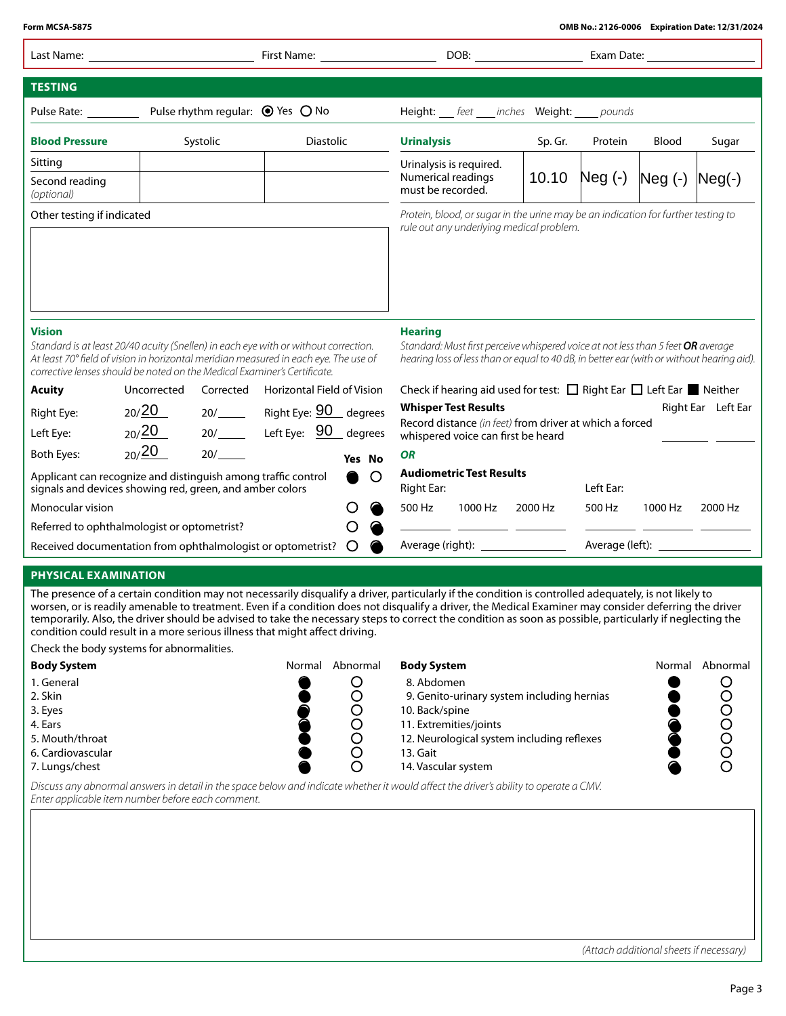| Form MCSA-5875                                                                                                                                                                                                                                                           |                |          |                                                                           |         |                                                                                                                                                                                                 |         |           |            | OMB No.: 2126-0006 Expiration Date: 12/31/2024 |
|--------------------------------------------------------------------------------------------------------------------------------------------------------------------------------------------------------------------------------------------------------------------------|----------------|----------|---------------------------------------------------------------------------|---------|-------------------------------------------------------------------------------------------------------------------------------------------------------------------------------------------------|---------|-----------|------------|------------------------------------------------|
| Last Name: The contract of the contract of the contract of the contract of the contract of the contract of the                                                                                                                                                           |                |          |                                                                           |         |                                                                                                                                                                                                 |         |           | Exam Date: |                                                |
| <b>TESTING</b>                                                                                                                                                                                                                                                           |                |          |                                                                           |         |                                                                                                                                                                                                 |         |           |            |                                                |
| Pulse Rate: National Assets                                                                                                                                                                                                                                              |                |          | Pulse rhythm regular: ● Yes ○ No                                          |         | Height: __ feet ___ inches Weight: ____ pounds                                                                                                                                                  |         |           |            |                                                |
| <b>Blood Pressure</b>                                                                                                                                                                                                                                                    |                | Systolic | <b>Diastolic</b>                                                          |         | <b>Urinalysis</b>                                                                                                                                                                               | Sp. Gr. | Protein   | Blood      | Sugar                                          |
| Sitting<br>Second reading<br>(optional)                                                                                                                                                                                                                                  |                |          |                                                                           |         | Urinalysis is required.<br>Numerical readings<br>must be recorded.                                                                                                                              | 10.10   | Neg (-)   | $Neg(-)$   | $Neg(-)$                                       |
| Other testing if indicated                                                                                                                                                                                                                                               |                |          |                                                                           |         | Protein, blood, or sugar in the urine may be an indication for further testing to<br>rule out any underlying medical problem.                                                                   |         |           |            |                                                |
| <b>Vision</b><br>Standard is at least 20/40 acuity (Snellen) in each eye with or without correction.<br>At least 70° field of vision in horizontal meridian measured in each eye. The use of<br>corrective lenses should be noted on the Medical Examiner's Certificate. |                |          |                                                                           |         | <b>Hearing</b><br>Standard: Must first perceive whispered voice at not less than 5 feet OR average<br>hearing loss of less than or equal to 40 dB, in better ear (with or without hearing aid). |         |           |            |                                                |
| <b>Acuity</b>                                                                                                                                                                                                                                                            | Uncorrected    |          | Corrected Horizontal Field of Vision                                      |         | Check if hearing aid used for test: $\Box$ Right Ear $\Box$ Left Ear $\blacksquare$ Neither                                                                                                     |         |           |            |                                                |
| Right Eye:<br>Left Eye:                                                                                                                                                                                                                                                  | 20/20<br>20/20 |          | 20/_______ Right Eye: <b>90</b> degrees<br>20/______ Left Eye: 90 degrees |         | <b>Whisper Test Results</b><br>Record distance (in feet) from driver at which a forced                                                                                                          |         |           |            | Right Ear Left Ear                             |
| <b>Both Eyes:</b>                                                                                                                                                                                                                                                        | 20/20          | 20/      |                                                                           | Yes No  | whispered voice can first be heard<br><b>OR</b>                                                                                                                                                 |         |           |            |                                                |
| Applicant can recognize and distinguish among traffic control<br>signals and devices showing red, green, and amber colors                                                                                                                                                |                |          |                                                                           | $\circ$ | <b>Audiometric Test Results</b><br><b>Right Ear:</b>                                                                                                                                            |         | Left Ear: |            |                                                |
| Monocular vision                                                                                                                                                                                                                                                         |                |          |                                                                           |         | 500 Hz<br>1000 Hz                                                                                                                                                                               | 2000 Hz | 500 Hz    | 1000 Hz    | 2000 Hz                                        |
| Referred to ophthalmologist or optometrist?                                                                                                                                                                                                                              |                |          |                                                                           |         |                                                                                                                                                                                                 |         |           |            |                                                |
| Received documentation from ophthalmologist or optometrist?                                                                                                                                                                                                              |                |          |                                                                           | $\circ$ | Average (right): ________________                                                                                                                                                               |         |           |            |                                                |

## **PHYSICAL EXAMINATION**

The presence of a certain condition may not necessarily disqualify a driver, particularly if the condition is controlled adequately, is not likely to worsen, or is readily amenable to treatment. Even if a condition does not disqualify a driver, the Medical Examiner may consider deferring the driver temporarily. Also, the driver should be advised to take the necessary steps to correct the condition as soon as possible, particularly if neglecting the condition could result in a more serious illness that might afect driving.

Check the body systems for abnormalities.

| <b>Body System</b> | Normal | Abnormal | <b>Body System</b>                         | Normal | Abnormal |
|--------------------|--------|----------|--------------------------------------------|--------|----------|
| 1. General         |        |          | 8. Abdomen                                 |        |          |
| 2. Skin            |        |          | 9. Genito-urinary system including hernias |        |          |
| 3. Eyes            |        |          | 10. Back/spine                             |        |          |
| 4. Ears            |        |          | 11. Extremities/joints                     |        |          |
| 5. Mouth/throat    |        |          | 12. Neurological system including reflexes |        |          |
| 6. Cardiovascular  |        |          | 13. Gait                                   |        |          |
| 7. Lungs/chest     |        |          | 14. Vascular system                        |        |          |

*Discuss any abnormal answers in detail in the space below and indicate whether it would a*f*ect the driver's ability to operate a CMV. Enter applicable item number before each comment.*

*(Attach additional sheets if necessary)*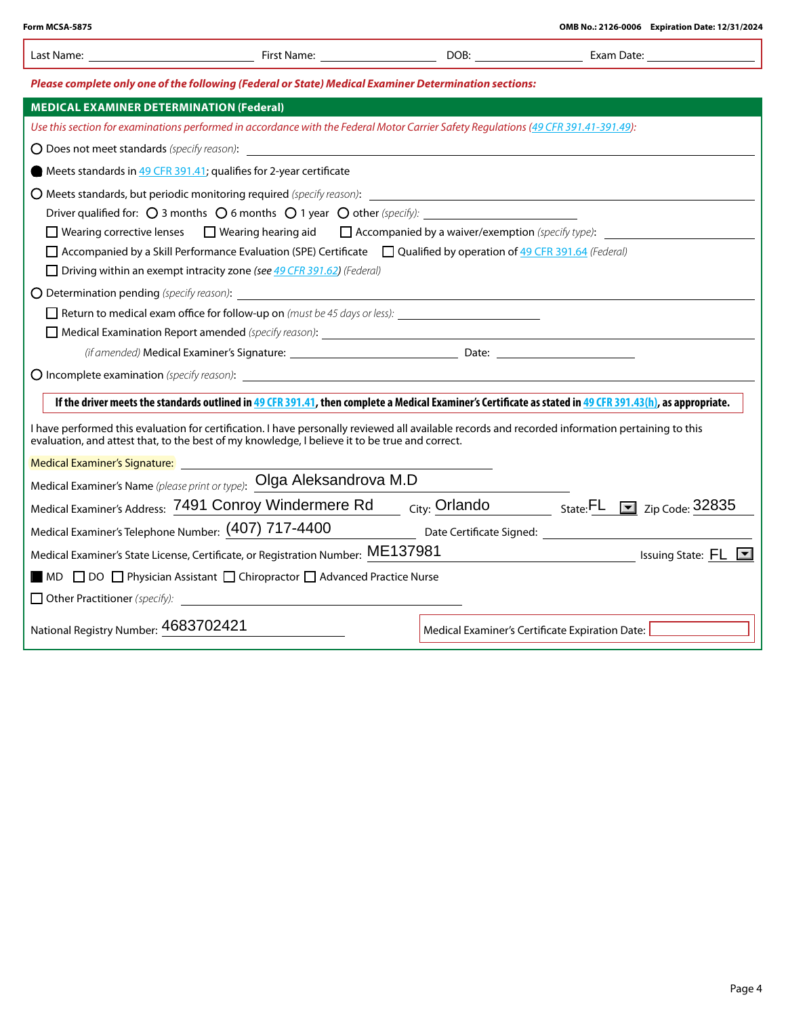| Please complete only one of the following (Federal or State) Medical Examiner Determination sections:                                                                                                                                                                                                                  |                                                                                                                                                                                                                                                    |  |                                                                                                 |  |  |  |  |  |
|------------------------------------------------------------------------------------------------------------------------------------------------------------------------------------------------------------------------------------------------------------------------------------------------------------------------|----------------------------------------------------------------------------------------------------------------------------------------------------------------------------------------------------------------------------------------------------|--|-------------------------------------------------------------------------------------------------|--|--|--|--|--|
| <b>MEDICAL EXAMINER DETERMINATION (Federal)</b>                                                                                                                                                                                                                                                                        |                                                                                                                                                                                                                                                    |  |                                                                                                 |  |  |  |  |  |
|                                                                                                                                                                                                                                                                                                                        | Use this section for examinations performed in accordance with the Federal Motor Carrier Safety Regulations (49 CFR 391.41-391.49):                                                                                                                |  |                                                                                                 |  |  |  |  |  |
|                                                                                                                                                                                                                                                                                                                        |                                                                                                                                                                                                                                                    |  |                                                                                                 |  |  |  |  |  |
|                                                                                                                                                                                                                                                                                                                        | Meets standards in 49 CFR 391.41; qualifies for 2-year certificate                                                                                                                                                                                 |  |                                                                                                 |  |  |  |  |  |
|                                                                                                                                                                                                                                                                                                                        |                                                                                                                                                                                                                                                    |  |                                                                                                 |  |  |  |  |  |
|                                                                                                                                                                                                                                                                                                                        | Driver qualified for: $\bigcirc$ 3 months $\bigcirc$ 6 months $\bigcirc$ 1 year $\bigcirc$ other (specify):                                                                                                                                        |  |                                                                                                 |  |  |  |  |  |
|                                                                                                                                                                                                                                                                                                                        | Wearing corrective lenses $\Box$ Wearing hearing aid $\Box$ Accompanied by a waiver/exemption (specify type):                                                                                                                                      |  |                                                                                                 |  |  |  |  |  |
|                                                                                                                                                                                                                                                                                                                        | □ Accompanied by a Skill Performance Evaluation (SPE) Certificate □ Qualified by operation of 49 CFR 391.64 (Federal)                                                                                                                              |  |                                                                                                 |  |  |  |  |  |
|                                                                                                                                                                                                                                                                                                                        | $\Box$ Driving within an exempt intracity zone (see 49 CFR 391.62) (Federal)                                                                                                                                                                       |  |                                                                                                 |  |  |  |  |  |
|                                                                                                                                                                                                                                                                                                                        |                                                                                                                                                                                                                                                    |  |                                                                                                 |  |  |  |  |  |
|                                                                                                                                                                                                                                                                                                                        |                                                                                                                                                                                                                                                    |  |                                                                                                 |  |  |  |  |  |
|                                                                                                                                                                                                                                                                                                                        |                                                                                                                                                                                                                                                    |  |                                                                                                 |  |  |  |  |  |
|                                                                                                                                                                                                                                                                                                                        |                                                                                                                                                                                                                                                    |  |                                                                                                 |  |  |  |  |  |
|                                                                                                                                                                                                                                                                                                                        |                                                                                                                                                                                                                                                    |  |                                                                                                 |  |  |  |  |  |
|                                                                                                                                                                                                                                                                                                                        | If the driver meets the standards outlined in 49 CFR 391.41, then complete a Medical Examiner's Certificate as stated in 49 CFR 391.43(h), as appropriate.                                                                                         |  |                                                                                                 |  |  |  |  |  |
|                                                                                                                                                                                                                                                                                                                        | I have performed this evaluation for certification. I have personally reviewed all available records and recorded information pertaining to this<br>evaluation, and attest that, to the best of my knowledge, I believe it to be true and correct. |  |                                                                                                 |  |  |  |  |  |
|                                                                                                                                                                                                                                                                                                                        |                                                                                                                                                                                                                                                    |  |                                                                                                 |  |  |  |  |  |
| Medical Examiner's Name (please print or type): Olga Aleksandrova M.D                                                                                                                                                                                                                                                  |                                                                                                                                                                                                                                                    |  |                                                                                                 |  |  |  |  |  |
|                                                                                                                                                                                                                                                                                                                        |                                                                                                                                                                                                                                                    |  | Medical Examiner's Address: 7491 Conroy Windermere Rd City: Orlando State: FL S zip Code: 32835 |  |  |  |  |  |
|                                                                                                                                                                                                                                                                                                                        | Medical Examiner's Telephone Number: (407) 717-4400 Date Certificate Signed: _______________________                                                                                                                                               |  |                                                                                                 |  |  |  |  |  |
| Medical Examiner's State License, Certificate, or Registration Number: ME137981<br><u>Denominative and the series of the series of the series of the series of the series of the series of the series of the series of the series of the series of the series of the series of the series of the series of the ser</u> |                                                                                                                                                                                                                                                    |  |                                                                                                 |  |  |  |  |  |
| $\blacksquare$ MD $\Box$ DO $\Box$ Physician Assistant $\Box$ Chiropractor $\Box$ Advanced Practice Nurse                                                                                                                                                                                                              |                                                                                                                                                                                                                                                    |  |                                                                                                 |  |  |  |  |  |
|                                                                                                                                                                                                                                                                                                                        | <b>Other Practitioner</b> (specify): <u>Contract Contract Contract Contract Contract Contract Contract Contract Contract Contract Contract Contract Contract Contract Contract Contract Contract Contract Contract Contract Contract </u>          |  |                                                                                                 |  |  |  |  |  |
| National Registry Number: 4683702421                                                                                                                                                                                                                                                                                   |                                                                                                                                                                                                                                                    |  | Medical Examiner's Certificate Expiration Date:                                                 |  |  |  |  |  |